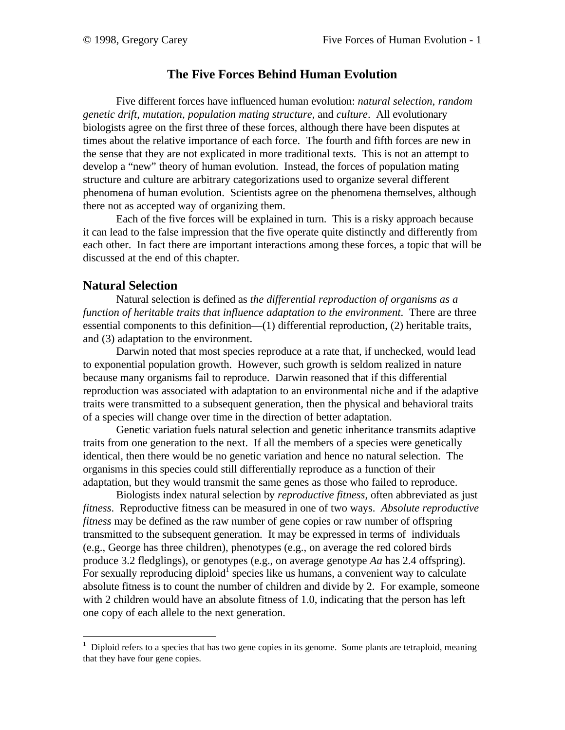### **The Five Forces Behind Human Evolution**

Five different forces have influenced human evolution: *natural selection*, *random genetic drift*, *mutation*, *population mating structure*, and *culture*. All evolutionary biologists agree on the first three of these forces, although there have been disputes at times about the relative importance of each force. The fourth and fifth forces are new in the sense that they are not explicated in more traditional texts. This is not an attempt to develop a "new" theory of human evolution. Instead, the forces of population mating structure and culture are arbitrary categorizations used to organize several different phenomena of human evolution. Scientists agree on the phenomena themselves, although there not as accepted way of organizing them.

Each of the five forces will be explained in turn. This is a risky approach because it can lead to the false impression that the five operate quite distinctly and differently from each other. In fact there are important interactions among these forces, a topic that will be discussed at the end of this chapter.

### **Natural Selection**

 $\overline{a}$ 

Natural selection is defined as *the differential reproduction of organisms as a function of heritable traits that influence adaptation to the environment*. There are three essential components to this definition—(1) differential reproduction, (2) heritable traits, and (3) adaptation to the environment.

Darwin noted that most species reproduce at a rate that, if unchecked, would lead to exponential population growth. However, such growth is seldom realized in nature because many organisms fail to reproduce. Darwin reasoned that if this differential reproduction was associated with adaptation to an environmental niche and if the adaptive traits were transmitted to a subsequent generation, then the physical and behavioral traits of a species will change over time in the direction of better adaptation.

Genetic variation fuels natural selection and genetic inheritance transmits adaptive traits from one generation to the next. If all the members of a species were genetically identical, then there would be no genetic variation and hence no natural selection. The organisms in this species could still differentially reproduce as a function of their adaptation, but they would transmit the same genes as those who failed to reproduce.

Biologists index natural selection by *reproductive fitness*, often abbreviated as just *fitness*. Reproductive fitness can be measured in one of two ways. *Absolute reproductive fitness* may be defined as the raw number of gene copies or raw number of offspring transmitted to the subsequent generation. It may be expressed in terms of individuals (e.g., George has three children), phenotypes (e.g., on average the red colored birds produce 3.2 fledglings), or genotypes (e.g., on average genotype *Aa* has 2.4 offspring). For sexually reproducing diploid<sup>1</sup> species like us humans, a convenient way to calculate absolute fitness is to count the number of children and divide by 2. For example, someone with 2 children would have an absolute fitness of 1.0, indicating that the person has left one copy of each allele to the next generation.

 $1$  Diploid refers to a species that has two gene copies in its genome. Some plants are tetraploid, meaning that they have four gene copies.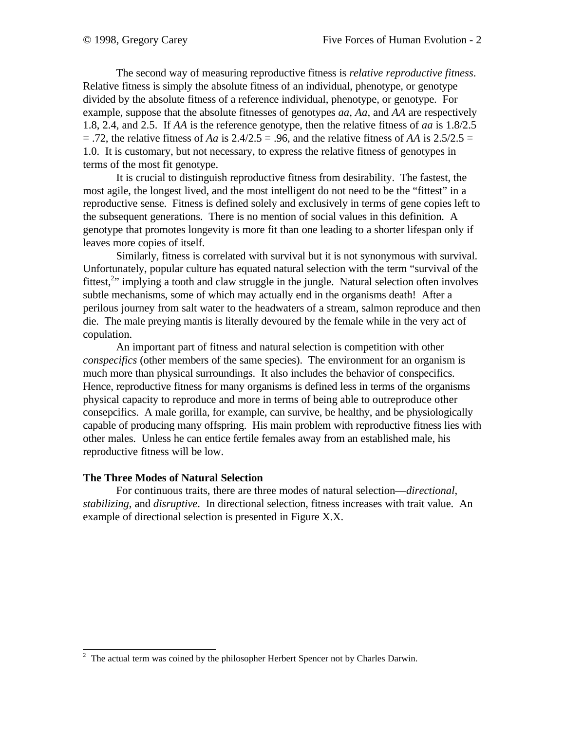The second way of measuring reproductive fitness is *relative reproductive fitness*. Relative fitness is simply the absolute fitness of an individual, phenotype, or genotype divided by the absolute fitness of a reference individual, phenotype, or genotype. For example, suppose that the absolute fitnesses of genotypes *aa*, *Aa*, and *AA* are respectively 1.8, 2.4, and 2.5. If *AA* is the reference genotype, then the relative fitness of *aa* is 1.8/2.5  $=$  .72, the relative fitness of *Aa* is 2.4/2.5 = .96, and the relative fitness of *AA* is 2.5/2.5 = 1.0. It is customary, but not necessary, to express the relative fitness of genotypes in terms of the most fit genotype.

It is crucial to distinguish reproductive fitness from desirability. The fastest, the most agile, the longest lived, and the most intelligent do not need to be the "fittest" in a reproductive sense. Fitness is defined solely and exclusively in terms of gene copies left to the subsequent generations. There is no mention of social values in this definition. A genotype that promotes longevity is more fit than one leading to a shorter lifespan only if leaves more copies of itself.

Similarly, fitness is correlated with survival but it is not synonymous with survival. Unfortunately, popular culture has equated natural selection with the term "survival of the fittest,<sup>2</sup>" implying a tooth and claw struggle in the jungle. Natural selection often involves subtle mechanisms, some of which may actually end in the organisms death! After a perilous journey from salt water to the headwaters of a stream, salmon reproduce and then die. The male preying mantis is literally devoured by the female while in the very act of copulation.

An important part of fitness and natural selection is competition with other *conspecifics* (other members of the same species). The environment for an organism is much more than physical surroundings. It also includes the behavior of conspecifics. Hence, reproductive fitness for many organisms is defined less in terms of the organisms physical capacity to reproduce and more in terms of being able to outreproduce other consepcifics. A male gorilla, for example, can survive, be healthy, and be physiologically capable of producing many offspring. His main problem with reproductive fitness lies with other males. Unless he can entice fertile females away from an established male, his reproductive fitness will be low.

### **The Three Modes of Natural Selection**

For continuous traits, there are three modes of natural selection—*directional*, *stabilizing*, and *disruptive*. In directional selection, fitness increases with trait value. An example of directional selection is presented in Figure X.X.

<sup>&</sup>lt;sup>2</sup> The actual term was coined by the philosopher Herbert Spencer not by Charles Darwin.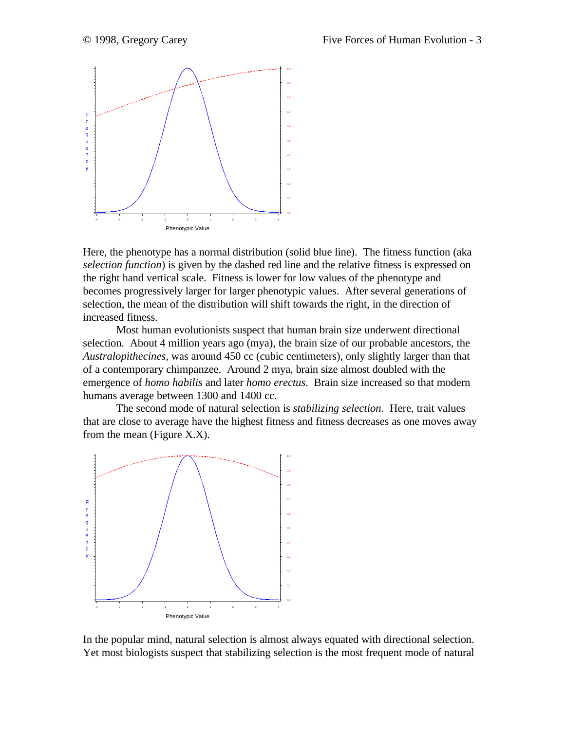

Here, the phenotype has a normal distribution (solid blue line). The fitness function (aka *selection function*) is given by the dashed red line and the relative fitness is expressed on the right hand vertical scale. Fitness is lower for low values of the phenotype and becomes progressively larger for larger phenotypic values. After several generations of selection, the mean of the distribution will shift towards the right, in the direction of increased fitness.

Most human evolutionists suspect that human brain size underwent directional selection. About 4 million years ago (mya), the brain size of our probable ancestors, the *Australopithecines*, was around 450 cc (cubic centimeters), only slightly larger than that of a contemporary chimpanzee. Around 2 mya, brain size almost doubled with the emergence of *homo habilis* and later *homo erectus*. Brain size increased so that modern humans average between 1300 and 1400 cc.

The second mode of natural selection is *stabilizing selection*. Here, trait values that are close to average have the highest fitness and fitness decreases as one moves away from the mean (Figure X.X).



In the popular mind, natural selection is almost always equated with directional selection. Yet most biologists suspect that stabilizing selection is the most frequent mode of natural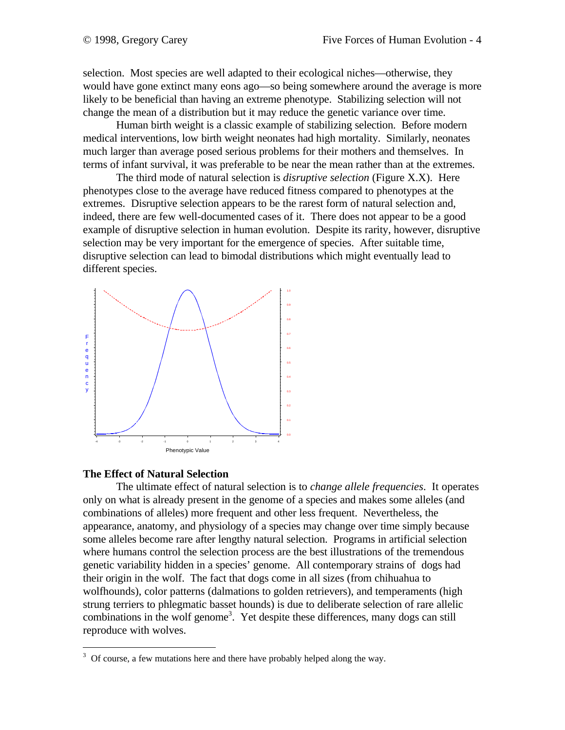selection. Most species are well adapted to their ecological niches—otherwise, they would have gone extinct many eons ago—so being somewhere around the average is more likely to be beneficial than having an extreme phenotype. Stabilizing selection will not change the mean of a distribution but it may reduce the genetic variance over time.

Human birth weight is a classic example of stabilizing selection. Before modern medical interventions, low birth weight neonates had high mortality. Similarly, neonates much larger than average posed serious problems for their mothers and themselves. In terms of infant survival, it was preferable to be near the mean rather than at the extremes.

The third mode of natural selection is *disruptive selection* (Figure X.X). Here phenotypes close to the average have reduced fitness compared to phenotypes at the extremes. Disruptive selection appears to be the rarest form of natural selection and, indeed, there are few well-documented cases of it. There does not appear to be a good example of disruptive selection in human evolution. Despite its rarity, however, disruptive selection may be very important for the emergence of species. After suitable time, disruptive selection can lead to bimodal distributions which might eventually lead to different species.



#### **The Effect of Natural Selection**

The ultimate effect of natural selection is to *change allele frequencies*. It operates only on what is already present in the genome of a species and makes some alleles (and combinations of alleles) more frequent and other less frequent. Nevertheless, the appearance, anatomy, and physiology of a species may change over time simply because some alleles become rare after lengthy natural selection. Programs in artificial selection where humans control the selection process are the best illustrations of the tremendous genetic variability hidden in a species' genome. All contemporary strains of dogs had their origin in the wolf. The fact that dogs come in all sizes (from chihuahua to wolfhounds), color patterns (dalmations to golden retrievers), and temperaments (high strung terriers to phlegmatic basset hounds) is due to deliberate selection of rare allelic combinations in the wolf genome<sup>3</sup>. Yet despite these differences, many dogs can still reproduce with wolves.

<sup>&</sup>lt;sup>3</sup> Of course, a few mutations here and there have probably helped along the way.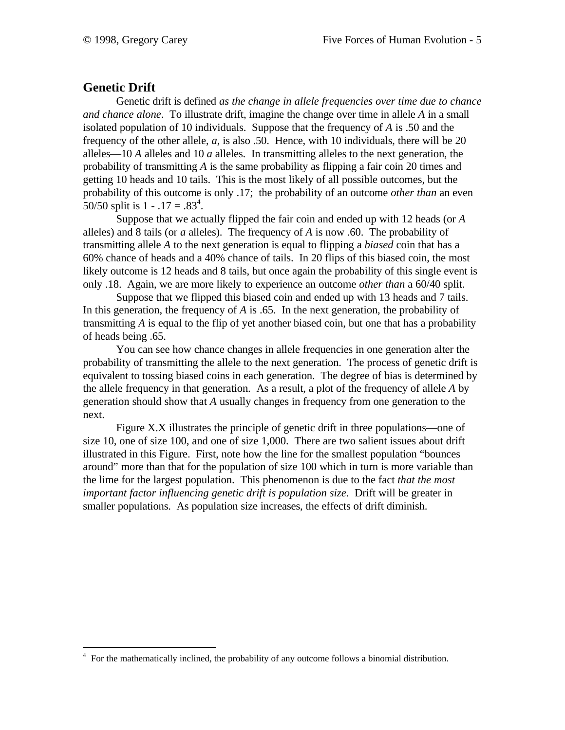# **Genetic Drift**

Genetic drift is defined *as the change in allele frequencies over time due to chance and chance alone*. To illustrate drift, imagine the change over time in allele *A* in a small isolated population of 10 individuals. Suppose that the frequency of *A* is .50 and the frequency of the other allele, *a*, is also .50. Hence, with 10 individuals, there will be 20 alleles—10 *A* alleles and 10 *a* alleles. In transmitting alleles to the next generation, the probability of transmitting *A* is the same probability as flipping a fair coin 20 times and getting 10 heads and 10 tails. This is the most likely of all possible outcomes, but the probability of this outcome is only .17; the probability of an outcome *other than* an even 50/50 split is  $1 - .17 = .83<sup>4</sup>$ .

Suppose that we actually flipped the fair coin and ended up with 12 heads (or *A* alleles) and 8 tails (or *a* alleles). The frequency of *A* is now .60. The probability of transmitting allele *A* to the next generation is equal to flipping a *biased* coin that has a 60% chance of heads and a 40% chance of tails. In 20 flips of this biased coin, the most likely outcome is 12 heads and 8 tails, but once again the probability of this single event is only .18. Again, we are more likely to experience an outcome *other than* a 60/40 split.

Suppose that we flipped this biased coin and ended up with 13 heads and 7 tails. In this generation, the frequency of *A* is .65. In the next generation, the probability of transmitting *A* is equal to the flip of yet another biased coin, but one that has a probability of heads being .65.

You can see how chance changes in allele frequencies in one generation alter the probability of transmitting the allele to the next generation. The process of genetic drift is equivalent to tossing biased coins in each generation. The degree of bias is determined by the allele frequency in that generation. As a result, a plot of the frequency of allele *A* by generation should show that *A* usually changes in frequency from one generation to the next.

Figure X.X illustrates the principle of genetic drift in three populations—one of size 10, one of size 100, and one of size 1,000. There are two salient issues about drift illustrated in this Figure. First, note how the line for the smallest population "bounces around" more than that for the population of size 100 which in turn is more variable than the lime for the largest population. This phenomenon is due to the fact *that the most important factor influencing genetic drift is population size*. Drift will be greater in smaller populations. As population size increases, the effects of drift diminish.

 $\overline{a}$ <sup>4</sup> For the mathematically inclined, the probability of any outcome follows a binomial distribution.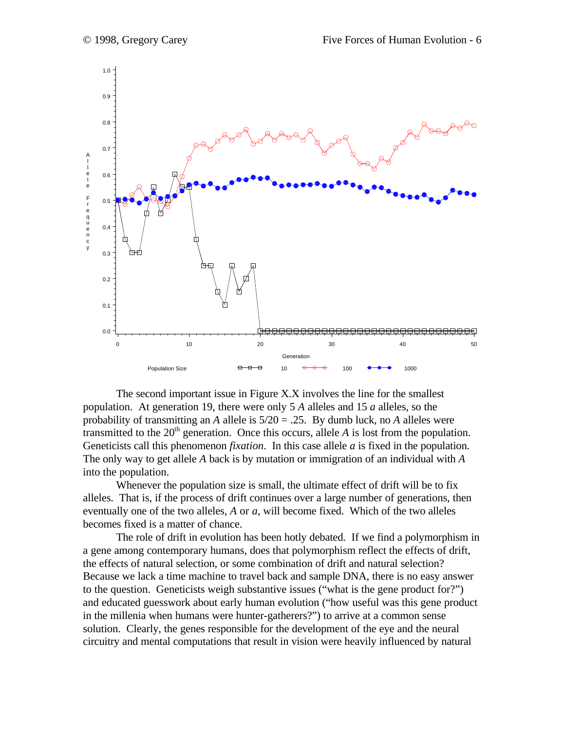

The second important issue in Figure X.X involves the line for the smallest population. At generation 19, there were only 5 *A* alleles and 15 *a* alleles, so the probability of transmitting an *A* allele is 5/20 = .25. By dumb luck, no *A* alleles were transmitted to the  $20<sup>th</sup>$  generation. Once this occurs, allele *A* is lost from the population. Geneticists call this phenomenon *fixation*. In this case allele *a* is fixed in the population. The only way to get allele *A* back is by mutation or immigration of an individual with *A* into the population.

Whenever the population size is small, the ultimate effect of drift will be to fix alleles. That is, if the process of drift continues over a large number of generations, then eventually one of the two alleles, *A* or *a*, will become fixed. Which of the two alleles becomes fixed is a matter of chance.

The role of drift in evolution has been hotly debated. If we find a polymorphism in a gene among contemporary humans, does that polymorphism reflect the effects of drift, the effects of natural selection, or some combination of drift and natural selection? Because we lack a time machine to travel back and sample DNA, there is no easy answer to the question. Geneticists weigh substantive issues ("what is the gene product for?") and educated guesswork about early human evolution ("how useful was this gene product in the millenia when humans were hunter-gatherers?") to arrive at a common sense solution. Clearly, the genes responsible for the development of the eye and the neural circuitry and mental computations that result in vision were heavily influenced by natural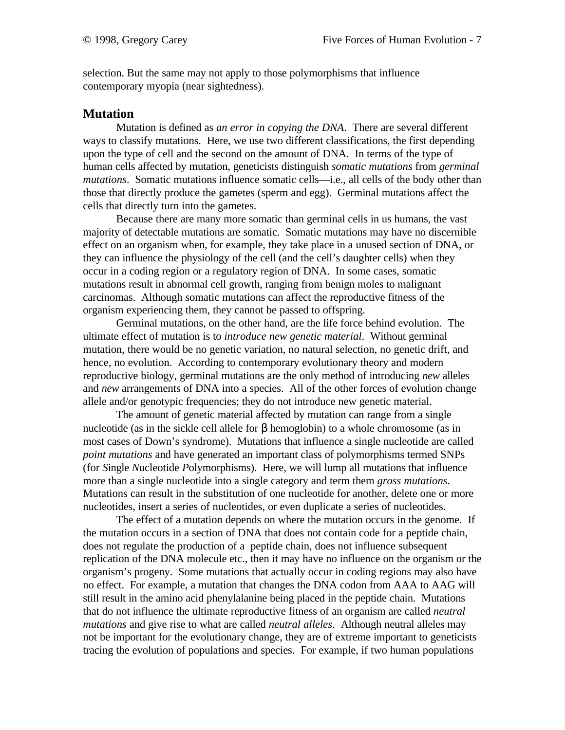selection. But the same may not apply to those polymorphisms that influence contemporary myopia (near sightedness).

### **Mutation**

Mutation is defined as *an error in copying the DNA*. There are several different ways to classify mutations. Here, we use two different classifications, the first depending upon the type of cell and the second on the amount of DNA. In terms of the type of human cells affected by mutation, geneticists distinguish *somatic mutations* from *germinal mutations*. Somatic mutations influence somatic cells—i.e., all cells of the body other than those that directly produce the gametes (sperm and egg). Germinal mutations affect the cells that directly turn into the gametes.

Because there are many more somatic than germinal cells in us humans, the vast majority of detectable mutations are somatic. Somatic mutations may have no discernible effect on an organism when, for example, they take place in a unused section of DNA, or they can influence the physiology of the cell (and the cell's daughter cells) when they occur in a coding region or a regulatory region of DNA. In some cases, somatic mutations result in abnormal cell growth, ranging from benign moles to malignant carcinomas. Although somatic mutations can affect the reproductive fitness of the organism experiencing them, they cannot be passed to offspring.

Germinal mutations, on the other hand, are the life force behind evolution. The ultimate effect of mutation is to *introduce new genetic material*. Without germinal mutation, there would be no genetic variation, no natural selection, no genetic drift, and hence, no evolution. According to contemporary evolutionary theory and modern reproductive biology, germinal mutations are the only method of introducing *new* alleles and *new* arrangements of DNA into a species. All of the other forces of evolution change allele and/or genotypic frequencies; they do not introduce new genetic material.

The amount of genetic material affected by mutation can range from a single nucleotide (as in the sickle cell allele for β hemoglobin) to a whole chromosome (as in most cases of Down's syndrome). Mutations that influence a single nucleotide are called *point mutations* and have generated an important class of polymorphisms termed SNPs (for *S*ingle *N*ucleotide *P*olymorphisms). Here, we will lump all mutations that influence more than a single nucleotide into a single category and term them *gross mutations*. Mutations can result in the substitution of one nucleotide for another, delete one or more nucleotides, insert a series of nucleotides, or even duplicate a series of nucleotides.

The effect of a mutation depends on where the mutation occurs in the genome. If the mutation occurs in a section of DNA that does not contain code for a peptide chain, does not regulate the production of a peptide chain, does not influence subsequent replication of the DNA molecule etc., then it may have no influence on the organism or the organism's progeny. Some mutations that actually occur in coding regions may also have no effect. For example, a mutation that changes the DNA codon from AAA to AAG will still result in the amino acid phenylalanine being placed in the peptide chain. Mutations that do not influence the ultimate reproductive fitness of an organism are called *neutral mutations* and give rise to what are called *neutral alleles*. Although neutral alleles may not be important for the evolutionary change, they are of extreme important to geneticists tracing the evolution of populations and species. For example, if two human populations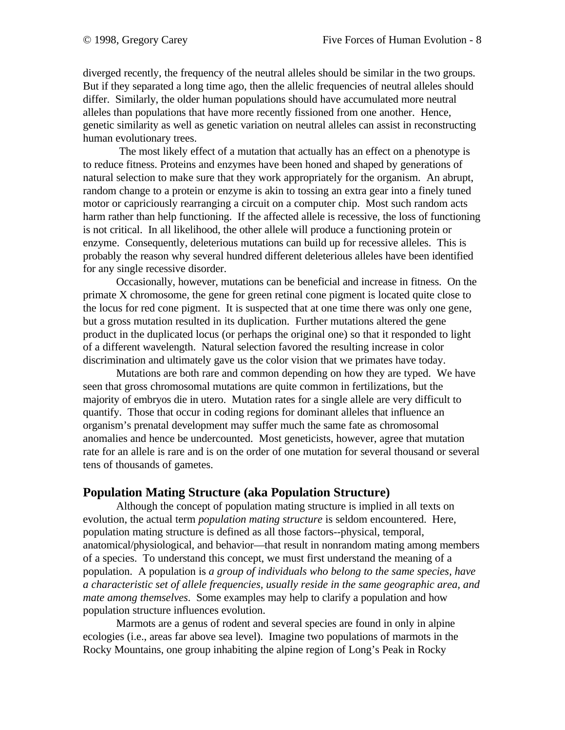diverged recently, the frequency of the neutral alleles should be similar in the two groups. But if they separated a long time ago, then the allelic frequencies of neutral alleles should differ. Similarly, the older human populations should have accumulated more neutral alleles than populations that have more recently fissioned from one another. Hence, genetic similarity as well as genetic variation on neutral alleles can assist in reconstructing human evolutionary trees.

 The most likely effect of a mutation that actually has an effect on a phenotype is to reduce fitness. Proteins and enzymes have been honed and shaped by generations of natural selection to make sure that they work appropriately for the organism. An abrupt, random change to a protein or enzyme is akin to tossing an extra gear into a finely tuned motor or capriciously rearranging a circuit on a computer chip. Most such random acts harm rather than help functioning. If the affected allele is recessive, the loss of functioning is not critical. In all likelihood, the other allele will produce a functioning protein or enzyme. Consequently, deleterious mutations can build up for recessive alleles. This is probably the reason why several hundred different deleterious alleles have been identified for any single recessive disorder.

Occasionally, however, mutations can be beneficial and increase in fitness. On the primate X chromosome, the gene for green retinal cone pigment is located quite close to the locus for red cone pigment. It is suspected that at one time there was only one gene, but a gross mutation resulted in its duplication. Further mutations altered the gene product in the duplicated locus (or perhaps the original one) so that it responded to light of a different wavelength. Natural selection favored the resulting increase in color discrimination and ultimately gave us the color vision that we primates have today.

Mutations are both rare and common depending on how they are typed. We have seen that gross chromosomal mutations are quite common in fertilizations, but the majority of embryos die in utero. Mutation rates for a single allele are very difficult to quantify. Those that occur in coding regions for dominant alleles that influence an organism's prenatal development may suffer much the same fate as chromosomal anomalies and hence be undercounted. Most geneticists, however, agree that mutation rate for an allele is rare and is on the order of one mutation for several thousand or several tens of thousands of gametes.

### **Population Mating Structure (aka Population Structure)**

Although the concept of population mating structure is implied in all texts on evolution, the actual term *population mating structure* is seldom encountered. Here, population mating structure is defined as all those factors--physical, temporal, anatomical/physiological, and behavior—that result in nonrandom mating among members of a species. To understand this concept, we must first understand the meaning of a population. A population is *a group of individuals who belong to the same species, have a characteristic set of allele frequencies, usually reside in the same geographic area, and mate among themselves*. Some examples may help to clarify a population and how population structure influences evolution.

Marmots are a genus of rodent and several species are found in only in alpine ecologies (i.e., areas far above sea level). Imagine two populations of marmots in the Rocky Mountains, one group inhabiting the alpine region of Long's Peak in Rocky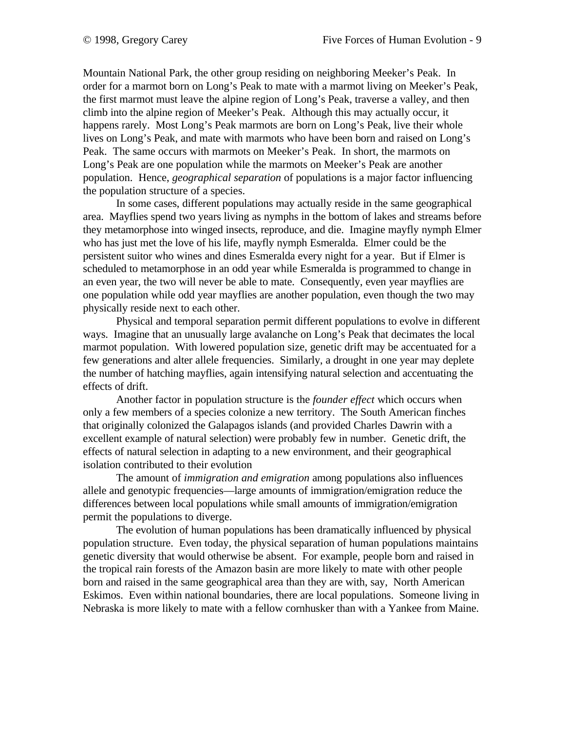Mountain National Park, the other group residing on neighboring Meeker's Peak. In order for a marmot born on Long's Peak to mate with a marmot living on Meeker's Peak, the first marmot must leave the alpine region of Long's Peak, traverse a valley, and then climb into the alpine region of Meeker's Peak. Although this may actually occur, it happens rarely. Most Long's Peak marmots are born on Long's Peak, live their whole lives on Long's Peak, and mate with marmots who have been born and raised on Long's Peak. The same occurs with marmots on Meeker's Peak. In short, the marmots on Long's Peak are one population while the marmots on Meeker's Peak are another population. Hence, *geographical separation* of populations is a major factor influencing the population structure of a species.

In some cases, different populations may actually reside in the same geographical area. Mayflies spend two years living as nymphs in the bottom of lakes and streams before they metamorphose into winged insects, reproduce, and die. Imagine mayfly nymph Elmer who has just met the love of his life, mayfly nymph Esmeralda. Elmer could be the persistent suitor who wines and dines Esmeralda every night for a year. But if Elmer is scheduled to metamorphose in an odd year while Esmeralda is programmed to change in an even year, the two will never be able to mate. Consequently, even year mayflies are one population while odd year mayflies are another population, even though the two may physically reside next to each other.

Physical and temporal separation permit different populations to evolve in different ways. Imagine that an unusually large avalanche on Long's Peak that decimates the local marmot population. With lowered population size, genetic drift may be accentuated for a few generations and alter allele frequencies. Similarly, a drought in one year may deplete the number of hatching mayflies, again intensifying natural selection and accentuating the effects of drift.

Another factor in population structure is the *founder effect* which occurs when only a few members of a species colonize a new territory. The South American finches that originally colonized the Galapagos islands (and provided Charles Dawrin with a excellent example of natural selection) were probably few in number. Genetic drift, the effects of natural selection in adapting to a new environment, and their geographical isolation contributed to their evolution

The amount of *immigration and emigration* among populations also influences allele and genotypic frequencies—large amounts of immigration/emigration reduce the differences between local populations while small amounts of immigration/emigration permit the populations to diverge.

The evolution of human populations has been dramatically influenced by physical population structure. Even today, the physical separation of human populations maintains genetic diversity that would otherwise be absent. For example, people born and raised in the tropical rain forests of the Amazon basin are more likely to mate with other people born and raised in the same geographical area than they are with, say, North American Eskimos. Even within national boundaries, there are local populations. Someone living in Nebraska is more likely to mate with a fellow cornhusker than with a Yankee from Maine.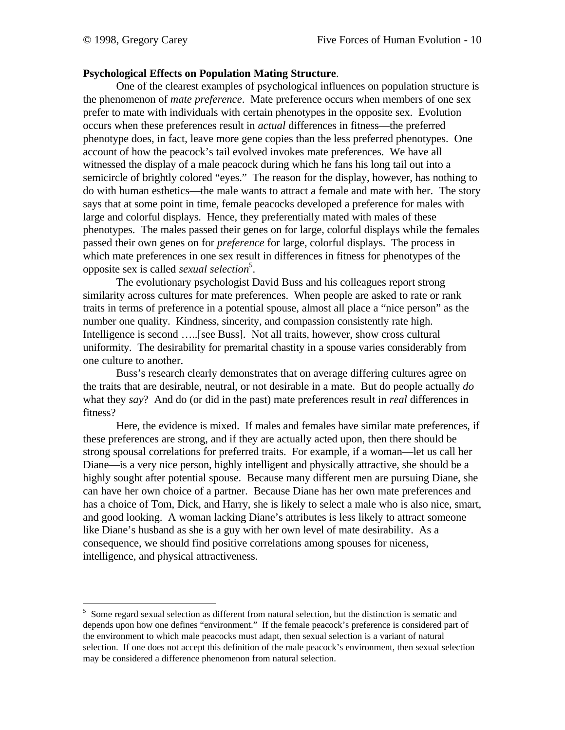$\overline{a}$ 

### **Psychological Effects on Population Mating Structure**.

One of the clearest examples of psychological influences on population structure is the phenomenon of *mate preference*. Mate preference occurs when members of one sex prefer to mate with individuals with certain phenotypes in the opposite sex. Evolution occurs when these preferences result in *actual* differences in fitness—the preferred phenotype does, in fact, leave more gene copies than the less preferred phenotypes. One account of how the peacock's tail evolved invokes mate preferences. We have all witnessed the display of a male peacock during which he fans his long tail out into a semicircle of brightly colored "eyes." The reason for the display, however, has nothing to do with human esthetics—the male wants to attract a female and mate with her. The story says that at some point in time, female peacocks developed a preference for males with large and colorful displays. Hence, they preferentially mated with males of these phenotypes. The males passed their genes on for large, colorful displays while the females passed their own genes on for *preference* for large, colorful displays. The process in which mate preferences in one sex result in differences in fitness for phenotypes of the opposite sex is called *sexual selection*<sup>5</sup>.

The evolutionary psychologist David Buss and his colleagues report strong similarity across cultures for mate preferences. When people are asked to rate or rank traits in terms of preference in a potential spouse, almost all place a "nice person" as the number one quality. Kindness, sincerity, and compassion consistently rate high. Intelligence is second …..[see Buss]. Not all traits, however, show cross cultural uniformity. The desirability for premarital chastity in a spouse varies considerably from one culture to another.

Buss's research clearly demonstrates that on average differing cultures agree on the traits that are desirable, neutral, or not desirable in a mate. But do people actually *do* what they *say*? And do (or did in the past) mate preferences result in *real* differences in fitness?

Here, the evidence is mixed. If males and females have similar mate preferences, if these preferences are strong, and if they are actually acted upon, then there should be strong spousal correlations for preferred traits. For example, if a woman—let us call her Diane—is a very nice person, highly intelligent and physically attractive, she should be a highly sought after potential spouse. Because many different men are pursuing Diane, she can have her own choice of a partner. Because Diane has her own mate preferences and has a choice of Tom, Dick, and Harry, she is likely to select a male who is also nice, smart, and good looking. A woman lacking Diane's attributes is less likely to attract someone like Diane's husband as she is a guy with her own level of mate desirability. As a consequence, we should find positive correlations among spouses for niceness, intelligence, and physical attractiveness.

<sup>&</sup>lt;sup>5</sup> Some regard sexual selection as different from natural selection, but the distinction is sematic and depends upon how one defines "environment." If the female peacock's preference is considered part of the environment to which male peacocks must adapt, then sexual selection is a variant of natural selection. If one does not accept this definition of the male peacock's environment, then sexual selection may be considered a difference phenomenon from natural selection.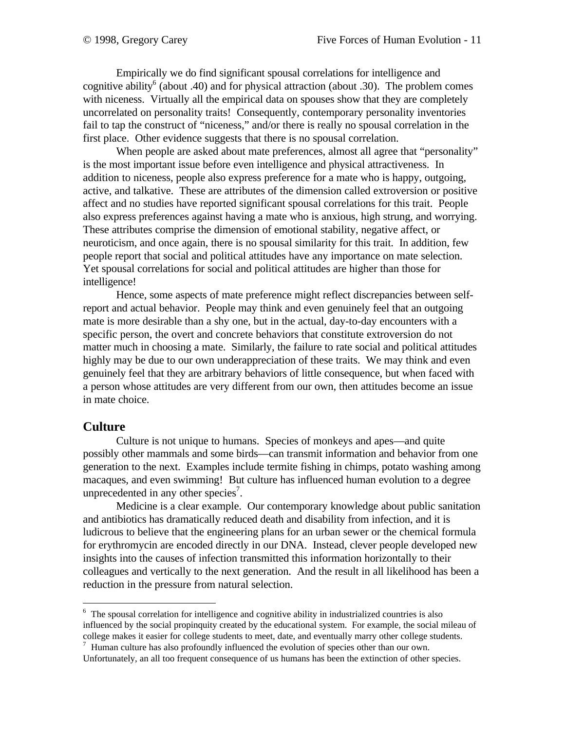Empirically we do find significant spousal correlations for intelligence and cognitive ability<sup>6</sup> (about .40) and for physical attraction (about .30). The problem comes with niceness. Virtually all the empirical data on spouses show that they are completely uncorrelated on personality traits! Consequently, contemporary personality inventories fail to tap the construct of "niceness," and/or there is really no spousal correlation in the first place. Other evidence suggests that there is no spousal correlation.

When people are asked about mate preferences, almost all agree that "personality" is the most important issue before even intelligence and physical attractiveness. In addition to niceness, people also express preference for a mate who is happy, outgoing, active, and talkative. These are attributes of the dimension called extroversion or positive affect and no studies have reported significant spousal correlations for this trait. People also express preferences against having a mate who is anxious, high strung, and worrying. These attributes comprise the dimension of emotional stability, negative affect, or neuroticism, and once again, there is no spousal similarity for this trait. In addition, few people report that social and political attitudes have any importance on mate selection. Yet spousal correlations for social and political attitudes are higher than those for intelligence!

Hence, some aspects of mate preference might reflect discrepancies between selfreport and actual behavior. People may think and even genuinely feel that an outgoing mate is more desirable than a shy one, but in the actual, day-to-day encounters with a specific person, the overt and concrete behaviors that constitute extroversion do not matter much in choosing a mate. Similarly, the failure to rate social and political attitudes highly may be due to our own underappreciation of these traits. We may think and even genuinely feel that they are arbitrary behaviors of little consequence, but when faced with a person whose attitudes are very different from our own, then attitudes become an issue in mate choice.

#### **Culture**

 $\overline{a}$ 

Culture is not unique to humans. Species of monkeys and apes—and quite possibly other mammals and some birds—can transmit information and behavior from one generation to the next. Examples include termite fishing in chimps, potato washing among macaques, and even swimming! But culture has influenced human evolution to a degree unprecedented in any other species<sup>7</sup>.

Medicine is a clear example. Our contemporary knowledge about public sanitation and antibiotics has dramatically reduced death and disability from infection, and it is ludicrous to believe that the engineering plans for an urban sewer or the chemical formula for erythromycin are encoded directly in our DNA. Instead, clever people developed new insights into the causes of infection transmitted this information horizontally to their colleagues and vertically to the next generation. And the result in all likelihood has been a reduction in the pressure from natural selection.

<sup>&</sup>lt;sup>6</sup> The spousal correlation for intelligence and cognitive ability in industrialized countries is also influenced by the social propinquity created by the educational system. For example, the social mileau of college makes it easier for college students to meet, date, and eventually marry other college students.

 $^7$  Human culture has also profoundly influenced the evolution of species other than our own. Unfortunately, an all too frequent consequence of us humans has been the extinction of other species.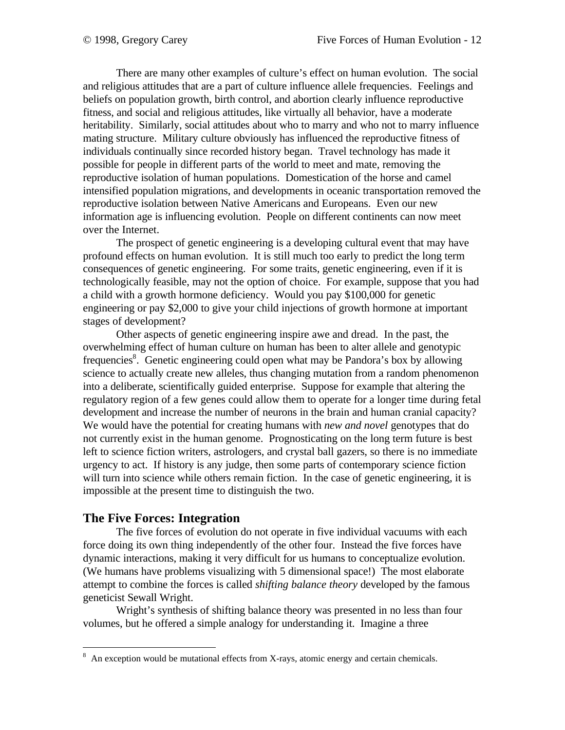There are many other examples of culture's effect on human evolution. The social and religious attitudes that are a part of culture influence allele frequencies. Feelings and beliefs on population growth, birth control, and abortion clearly influence reproductive fitness, and social and religious attitudes, like virtually all behavior, have a moderate heritability. Similarly, social attitudes about who to marry and who not to marry influence mating structure. Military culture obviously has influenced the reproductive fitness of individuals continually since recorded history began. Travel technology has made it possible for people in different parts of the world to meet and mate, removing the reproductive isolation of human populations. Domestication of the horse and camel intensified population migrations, and developments in oceanic transportation removed the reproductive isolation between Native Americans and Europeans. Even our new information age is influencing evolution. People on different continents can now meet over the Internet.

The prospect of genetic engineering is a developing cultural event that may have profound effects on human evolution. It is still much too early to predict the long term consequences of genetic engineering. For some traits, genetic engineering, even if it is technologically feasible, may not the option of choice. For example, suppose that you had a child with a growth hormone deficiency. Would you pay \$100,000 for genetic engineering or pay \$2,000 to give your child injections of growth hormone at important stages of development?

Other aspects of genetic engineering inspire awe and dread. In the past, the overwhelming effect of human culture on human has been to alter allele and genotypic frequencies<sup>8</sup>. Genetic engineering could open what may be Pandora's box by allowing science to actually create new alleles, thus changing mutation from a random phenomenon into a deliberate, scientifically guided enterprise. Suppose for example that altering the regulatory region of a few genes could allow them to operate for a longer time during fetal development and increase the number of neurons in the brain and human cranial capacity? We would have the potential for creating humans with *new and novel* genotypes that do not currently exist in the human genome. Prognosticating on the long term future is best left to science fiction writers, astrologers, and crystal ball gazers, so there is no immediate urgency to act. If history is any judge, then some parts of contemporary science fiction will turn into science while others remain fiction. In the case of genetic engineering, it is impossible at the present time to distinguish the two.

### **The Five Forces: Integration**

 $\overline{a}$ 

The five forces of evolution do not operate in five individual vacuums with each force doing its own thing independently of the other four. Instead the five forces have dynamic interactions, making it very difficult for us humans to conceptualize evolution. (We humans have problems visualizing with 5 dimensional space!) The most elaborate attempt to combine the forces is called *shifting balance theory* developed by the famous geneticist Sewall Wright.

Wright's synthesis of shifting balance theory was presented in no less than four volumes, but he offered a simple analogy for understanding it. Imagine a three

 $8\,$  An exception would be mutational effects from X-rays, atomic energy and certain chemicals.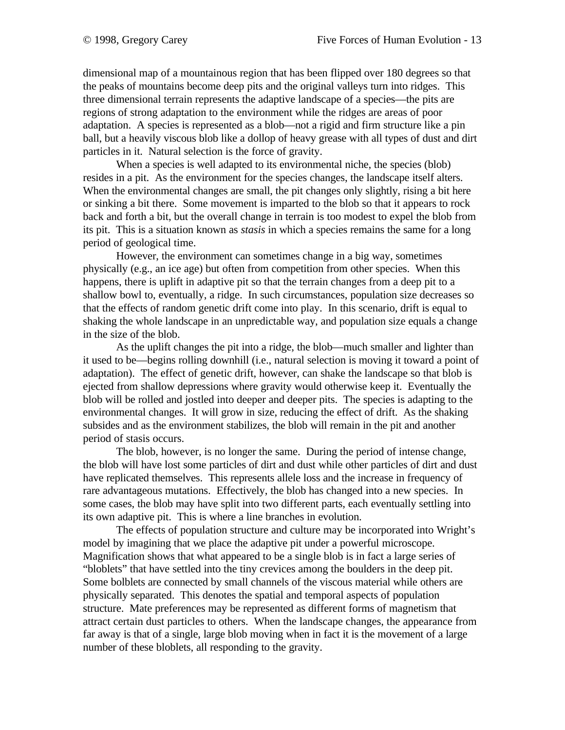dimensional map of a mountainous region that has been flipped over 180 degrees so that the peaks of mountains become deep pits and the original valleys turn into ridges. This three dimensional terrain represents the adaptive landscape of a species—the pits are regions of strong adaptation to the environment while the ridges are areas of poor adaptation. A species is represented as a blob—not a rigid and firm structure like a pin ball, but a heavily viscous blob like a dollop of heavy grease with all types of dust and dirt particles in it. Natural selection is the force of gravity.

When a species is well adapted to its environmental niche, the species (blob) resides in a pit. As the environment for the species changes, the landscape itself alters. When the environmental changes are small, the pit changes only slightly, rising a bit here or sinking a bit there. Some movement is imparted to the blob so that it appears to rock back and forth a bit, but the overall change in terrain is too modest to expel the blob from its pit. This is a situation known as *stasis* in which a species remains the same for a long period of geological time.

However, the environment can sometimes change in a big way, sometimes physically (e.g., an ice age) but often from competition from other species. When this happens, there is uplift in adaptive pit so that the terrain changes from a deep pit to a shallow bowl to, eventually, a ridge. In such circumstances, population size decreases so that the effects of random genetic drift come into play. In this scenario, drift is equal to shaking the whole landscape in an unpredictable way, and population size equals a change in the size of the blob.

As the uplift changes the pit into a ridge, the blob—much smaller and lighter than it used to be—begins rolling downhill (i.e., natural selection is moving it toward a point of adaptation). The effect of genetic drift, however, can shake the landscape so that blob is ejected from shallow depressions where gravity would otherwise keep it. Eventually the blob will be rolled and jostled into deeper and deeper pits. The species is adapting to the environmental changes. It will grow in size, reducing the effect of drift. As the shaking subsides and as the environment stabilizes, the blob will remain in the pit and another period of stasis occurs.

The blob, however, is no longer the same. During the period of intense change, the blob will have lost some particles of dirt and dust while other particles of dirt and dust have replicated themselves. This represents allele loss and the increase in frequency of rare advantageous mutations. Effectively, the blob has changed into a new species. In some cases, the blob may have split into two different parts, each eventually settling into its own adaptive pit. This is where a line branches in evolution.

The effects of population structure and culture may be incorporated into Wright's model by imagining that we place the adaptive pit under a powerful microscope. Magnification shows that what appeared to be a single blob is in fact a large series of "bloblets" that have settled into the tiny crevices among the boulders in the deep pit. Some bolblets are connected by small channels of the viscous material while others are physically separated. This denotes the spatial and temporal aspects of population structure. Mate preferences may be represented as different forms of magnetism that attract certain dust particles to others. When the landscape changes, the appearance from far away is that of a single, large blob moving when in fact it is the movement of a large number of these bloblets, all responding to the gravity.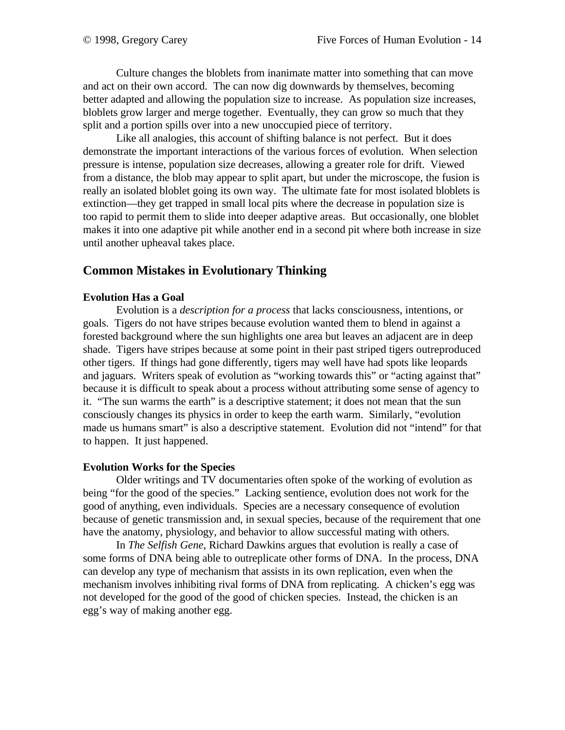Culture changes the bloblets from inanimate matter into something that can move and act on their own accord. The can now dig downwards by themselves, becoming better adapted and allowing the population size to increase. As population size increases, bloblets grow larger and merge together. Eventually, they can grow so much that they split and a portion spills over into a new unoccupied piece of territory.

Like all analogies, this account of shifting balance is not perfect. But it does demonstrate the important interactions of the various forces of evolution. When selection pressure is intense, population size decreases, allowing a greater role for drift. Viewed from a distance, the blob may appear to split apart, but under the microscope, the fusion is really an isolated bloblet going its own way. The ultimate fate for most isolated bloblets is extinction—they get trapped in small local pits where the decrease in population size is too rapid to permit them to slide into deeper adaptive areas. But occasionally, one bloblet makes it into one adaptive pit while another end in a second pit where both increase in size until another upheaval takes place.

## **Common Mistakes in Evolutionary Thinking**

### **Evolution Has a Goal**

Evolution is a *description for a process* that lacks consciousness, intentions, or goals. Tigers do not have stripes because evolution wanted them to blend in against a forested background where the sun highlights one area but leaves an adjacent are in deep shade. Tigers have stripes because at some point in their past striped tigers outreproduced other tigers. If things had gone differently, tigers may well have had spots like leopards and jaguars. Writers speak of evolution as "working towards this" or "acting against that" because it is difficult to speak about a process without attributing some sense of agency to it. "The sun warms the earth" is a descriptive statement; it does not mean that the sun consciously changes its physics in order to keep the earth warm. Similarly, "evolution made us humans smart" is also a descriptive statement. Evolution did not "intend" for that to happen. It just happened.

#### **Evolution Works for the Species**

Older writings and TV documentaries often spoke of the working of evolution as being "for the good of the species." Lacking sentience, evolution does not work for the good of anything, even individuals. Species are a necessary consequence of evolution because of genetic transmission and, in sexual species, because of the requirement that one have the anatomy, physiology, and behavior to allow successful mating with others.

In *The Selfish Gene*, Richard Dawkins argues that evolution is really a case of some forms of DNA being able to outreplicate other forms of DNA. In the process, DNA can develop any type of mechanism that assists in its own replication, even when the mechanism involves inhibiting rival forms of DNA from replicating. A chicken's egg was not developed for the good of the good of chicken species. Instead, the chicken is an egg's way of making another egg.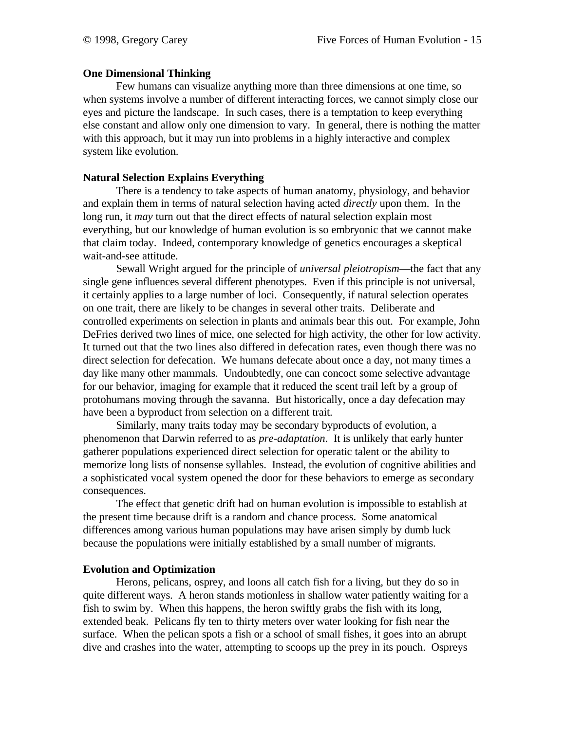### **One Dimensional Thinking**

Few humans can visualize anything more than three dimensions at one time, so when systems involve a number of different interacting forces, we cannot simply close our eyes and picture the landscape. In such cases, there is a temptation to keep everything else constant and allow only one dimension to vary. In general, there is nothing the matter with this approach, but it may run into problems in a highly interactive and complex system like evolution.

### **Natural Selection Explains Everything**

There is a tendency to take aspects of human anatomy, physiology, and behavior and explain them in terms of natural selection having acted *directly* upon them. In the long run, it *may* turn out that the direct effects of natural selection explain most everything, but our knowledge of human evolution is so embryonic that we cannot make that claim today. Indeed, contemporary knowledge of genetics encourages a skeptical wait-and-see attitude.

Sewall Wright argued for the principle of *universal pleiotropism*—the fact that any single gene influences several different phenotypes. Even if this principle is not universal, it certainly applies to a large number of loci. Consequently, if natural selection operates on one trait, there are likely to be changes in several other traits. Deliberate and controlled experiments on selection in plants and animals bear this out. For example, John DeFries derived two lines of mice, one selected for high activity, the other for low activity. It turned out that the two lines also differed in defecation rates, even though there was no direct selection for defecation. We humans defecate about once a day, not many times a day like many other mammals. Undoubtedly, one can concoct some selective advantage for our behavior, imaging for example that it reduced the scent trail left by a group of protohumans moving through the savanna. But historically, once a day defecation may have been a byproduct from selection on a different trait.

Similarly, many traits today may be secondary byproducts of evolution, a phenomenon that Darwin referred to as *pre-adaptation*. It is unlikely that early hunter gatherer populations experienced direct selection for operatic talent or the ability to memorize long lists of nonsense syllables. Instead, the evolution of cognitive abilities and a sophisticated vocal system opened the door for these behaviors to emerge as secondary consequences.

The effect that genetic drift had on human evolution is impossible to establish at the present time because drift is a random and chance process. Some anatomical differences among various human populations may have arisen simply by dumb luck because the populations were initially established by a small number of migrants.

### **Evolution and Optimization**

Herons, pelicans, osprey, and loons all catch fish for a living, but they do so in quite different ways. A heron stands motionless in shallow water patiently waiting for a fish to swim by. When this happens, the heron swiftly grabs the fish with its long, extended beak. Pelicans fly ten to thirty meters over water looking for fish near the surface. When the pelican spots a fish or a school of small fishes, it goes into an abrupt dive and crashes into the water, attempting to scoops up the prey in its pouch. Ospreys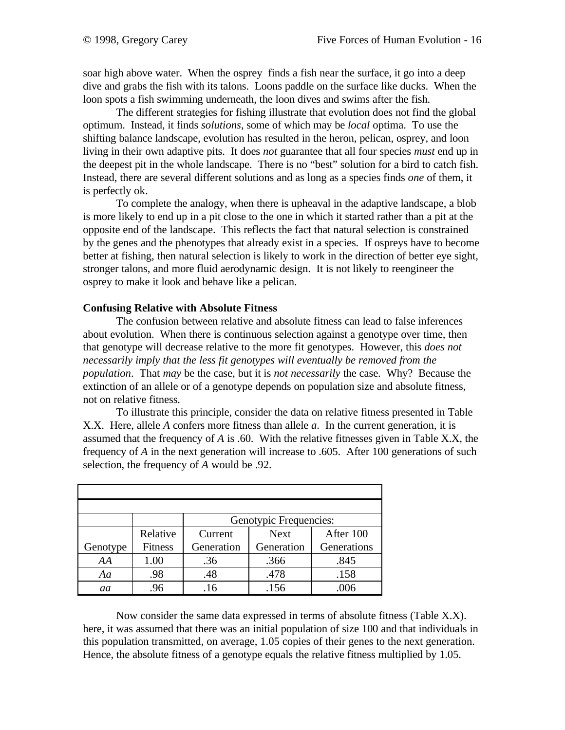soar high above water. When the osprey finds a fish near the surface, it go into a deep dive and grabs the fish with its talons. Loons paddle on the surface like ducks. When the loon spots a fish swimming underneath, the loon dives and swims after the fish.

The different strategies for fishing illustrate that evolution does not find the global optimum. Instead, it finds *solutions*, some of which may be *local* optima. To use the shifting balance landscape, evolution has resulted in the heron, pelican, osprey, and loon living in their own adaptive pits. It does *not* guarantee that all four species *must* end up in the deepest pit in the whole landscape. There is no "best" solution for a bird to catch fish. Instead, there are several different solutions and as long as a species finds *one* of them, it is perfectly ok.

To complete the analogy, when there is upheaval in the adaptive landscape, a blob is more likely to end up in a pit close to the one in which it started rather than a pit at the opposite end of the landscape. This reflects the fact that natural selection is constrained by the genes and the phenotypes that already exist in a species. If ospreys have to become better at fishing, then natural selection is likely to work in the direction of better eye sight, stronger talons, and more fluid aerodynamic design. It is not likely to reengineer the osprey to make it look and behave like a pelican.

### **Confusing Relative with Absolute Fitness**

The confusion between relative and absolute fitness can lead to false inferences about evolution. When there is continuous selection against a genotype over time, then that genotype will decrease relative to the more fit genotypes. However, this *does not necessarily imply that the less fit genotypes will eventually be removed from the population*. That *may* be the case, but it is *not necessarily* the case. Why? Because the extinction of an allele or of a genotype depends on population size and absolute fitness, not on relative fitness.

To illustrate this principle, consider the data on relative fitness presented in Table X.X. Here, allele *A* confers more fitness than allele *a*. In the current generation, it is assumed that the frequency of *A* is .60. With the relative fitnesses given in Table X.X, the frequency of *A* in the next generation will increase to .605. After 100 generations of such selection, the frequency of *A* would be .92.

|          |                | Genotypic Frequencies: |             |             |  |
|----------|----------------|------------------------|-------------|-------------|--|
|          | Relative       | Current                | <b>Next</b> | After 100   |  |
| Genotype | <b>Fitness</b> | Generation             | Generation  | Generations |  |
| AA       | 1.00           | .36                    | .366        | .845        |  |
| Aa       | .98            | .48                    | .478        | .158        |  |
| aa       | .96            | .16                    | .156        | .006        |  |

Now consider the same data expressed in terms of absolute fitness (Table X.X). here, it was assumed that there was an initial population of size 100 and that individuals in this population transmitted, on average, 1.05 copies of their genes to the next generation. Hence, the absolute fitness of a genotype equals the relative fitness multiplied by 1.05.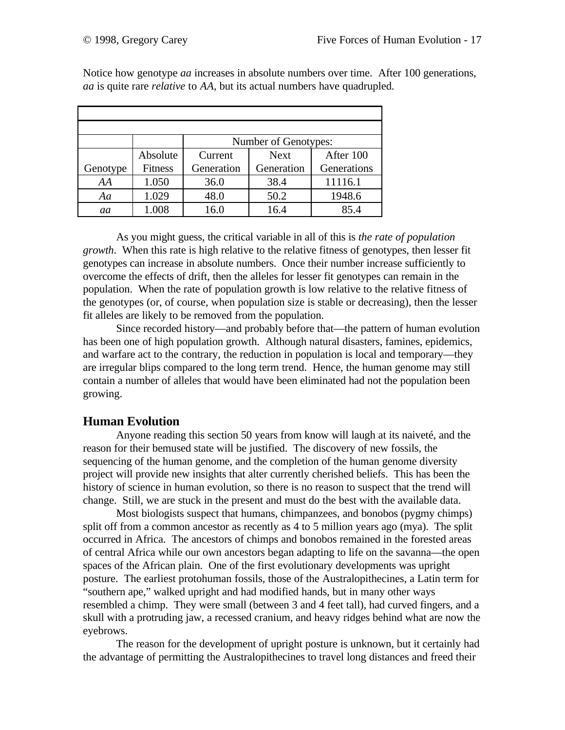|          |                | Number of Genotypes: |             |             |  |
|----------|----------------|----------------------|-------------|-------------|--|
|          | Absolute       | Current              | <b>Next</b> | After 100   |  |
| Genotype | <b>Fitness</b> | Generation           | Generation  | Generations |  |
| AA       |                |                      |             |             |  |
|          | 1.050          | 36.0                 | 38.4        | 11116.1     |  |
| Aa       | 1.029          | 48.0                 | 50.2        | 1948.6      |  |

Notice how genotype *aa* increases in absolute numbers over time. After 100 generations, *aa* is quite rare *relative* to *AA*, but its actual numbers have quadrupled.

As you might guess, the critical variable in all of this is *the rate of population growth*. When this rate is high relative to the relative fitness of genotypes, then lesser fit genotypes can increase in absolute numbers. Once their number increase sufficiently to overcome the effects of drift, then the alleles for lesser fit genotypes can remain in the population. When the rate of population growth is low relative to the relative fitness of the genotypes (or, of course, when population size is stable or decreasing), then the lesser fit alleles are likely to be removed from the population.

Since recorded history—and probably before that—the pattern of human evolution has been one of high population growth. Although natural disasters, famines, epidemics, and warfare act to the contrary, the reduction in population is local and temporary—they are irregular blips compared to the long term trend. Hence, the human genome may still contain a number of alleles that would have been eliminated had not the population been growing.

## **Human Evolution**

Anyone reading this section 50 years from know will laugh at its naiveté, and the reason for their bemused state will be justified. The discovery of new fossils, the sequencing of the human genome, and the completion of the human genome diversity project will provide new insights that alter currently cherished beliefs. This has been the history of science in human evolution, so there is no reason to suspect that the trend will change. Still, we are stuck in the present and must do the best with the available data.

Most biologists suspect that humans, chimpanzees, and bonobos (pygmy chimps) split off from a common ancestor as recently as 4 to 5 million years ago (mya). The split occurred in Africa. The ancestors of chimps and bonobos remained in the forested areas of central Africa while our own ancestors began adapting to life on the savanna—the open spaces of the African plain. One of the first evolutionary developments was upright posture. The earliest protohuman fossils, those of the Australopithecines, a Latin term for "southern ape," walked upright and had modified hands, but in many other ways resembled a chimp. They were small (between 3 and 4 feet tall), had curved fingers, and a skull with a protruding jaw, a recessed cranium, and heavy ridges behind what are now the eyebrows.

The reason for the development of upright posture is unknown, but it certainly had the advantage of permitting the Australopithecines to travel long distances and freed their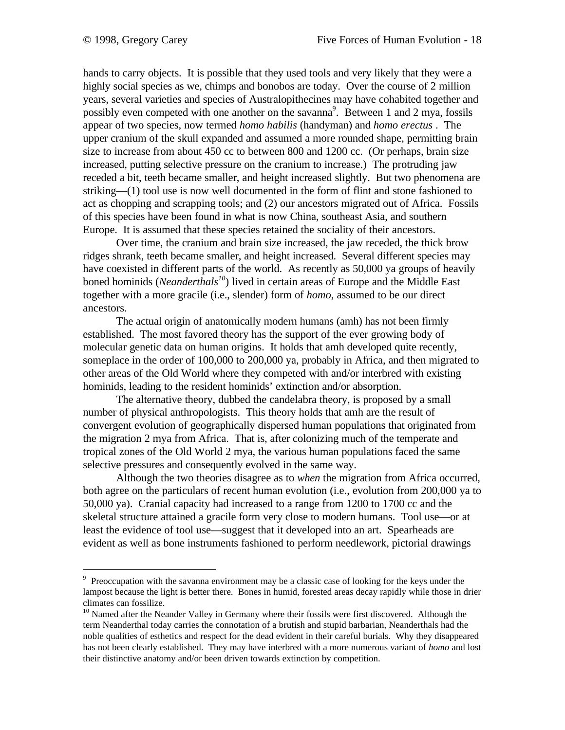$\overline{a}$ 

hands to carry objects. It is possible that they used tools and very likely that they were a highly social species as we, chimps and bonobos are today. Over the course of 2 million years, several varieties and species of Australopithecines may have cohabited together and possibly even competed with one another on the savanna<sup>9</sup>. Between 1 and 2 mya, fossils appear of two species, now termed *homo habilis* (handyman) and *homo erectus* . The upper cranium of the skull expanded and assumed a more rounded shape, permitting brain size to increase from about 450 cc to between 800 and 1200 cc. (Or perhaps, brain size increased, putting selective pressure on the cranium to increase.) The protruding jaw receded a bit, teeth became smaller, and height increased slightly. But two phenomena are striking—(1) tool use is now well documented in the form of flint and stone fashioned to act as chopping and scrapping tools; and (2) our ancestors migrated out of Africa. Fossils of this species have been found in what is now China, southeast Asia, and southern Europe. It is assumed that these species retained the sociality of their ancestors.

Over time, the cranium and brain size increased, the jaw receded, the thick brow ridges shrank, teeth became smaller, and height increased. Several different species may have coexisted in different parts of the world. As recently as 50,000 ya groups of heavily boned hominids (*Neanderthals<sup>10</sup>*) lived in certain areas of Europe and the Middle East together with a more gracile (i.e., slender) form of *homo*, assumed to be our direct ancestors.

The actual origin of anatomically modern humans (amh) has not been firmly established. The most favored theory has the support of the ever growing body of molecular genetic data on human origins. It holds that amh developed quite recently, someplace in the order of 100,000 to 200,000 ya, probably in Africa, and then migrated to other areas of the Old World where they competed with and/or interbred with existing hominids, leading to the resident hominids' extinction and/or absorption.

The alternative theory, dubbed the candelabra theory, is proposed by a small number of physical anthropologists. This theory holds that amh are the result of convergent evolution of geographically dispersed human populations that originated from the migration 2 mya from Africa. That is, after colonizing much of the temperate and tropical zones of the Old World 2 mya, the various human populations faced the same selective pressures and consequently evolved in the same way.

Although the two theories disagree as to *when* the migration from Africa occurred, both agree on the particulars of recent human evolution (i.e., evolution from 200,000 ya to 50,000 ya). Cranial capacity had increased to a range from 1200 to 1700 cc and the skeletal structure attained a gracile form very close to modern humans. Tool use—or at least the evidence of tool use—suggest that it developed into an art. Spearheads are evident as well as bone instruments fashioned to perform needlework, pictorial drawings

<sup>&</sup>lt;sup>9</sup> Preoccupation with the savanna environment may be a classic case of looking for the keys under the lampost because the light is better there. Bones in humid, forested areas decay rapidly while those in drier climates can fossilize.

 $10$  Named after the Neander Valley in Germany where their fossils were first discovered. Although the term Neanderthal today carries the connotation of a brutish and stupid barbarian, Neanderthals had the noble qualities of esthetics and respect for the dead evident in their careful burials. Why they disappeared has not been clearly established. They may have interbred with a more numerous variant of *homo* and lost their distinctive anatomy and/or been driven towards extinction by competition.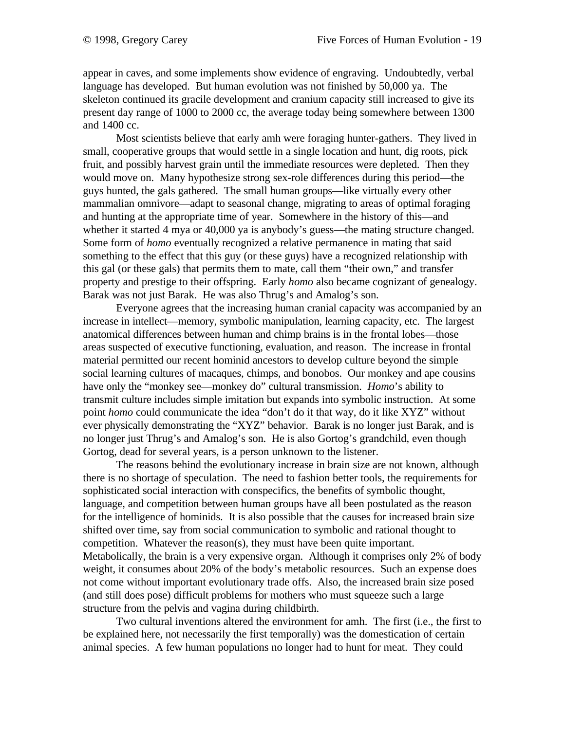appear in caves, and some implements show evidence of engraving. Undoubtedly, verbal language has developed. But human evolution was not finished by 50,000 ya. The skeleton continued its gracile development and cranium capacity still increased to give its present day range of 1000 to 2000 cc, the average today being somewhere between 1300 and 1400 cc.

Most scientists believe that early amh were foraging hunter-gathers. They lived in small, cooperative groups that would settle in a single location and hunt, dig roots, pick fruit, and possibly harvest grain until the immediate resources were depleted. Then they would move on. Many hypothesize strong sex-role differences during this period—the guys hunted, the gals gathered. The small human groups—like virtually every other mammalian omnivore—adapt to seasonal change, migrating to areas of optimal foraging and hunting at the appropriate time of year. Somewhere in the history of this—and whether it started 4 mya or 40,000 ya is anybody's guess—the mating structure changed. Some form of *homo* eventually recognized a relative permanence in mating that said something to the effect that this guy (or these guys) have a recognized relationship with this gal (or these gals) that permits them to mate, call them "their own," and transfer property and prestige to their offspring. Early *homo* also became cognizant of genealogy. Barak was not just Barak. He was also Thrug's and Amalog's son.

Everyone agrees that the increasing human cranial capacity was accompanied by an increase in intellect—memory, symbolic manipulation, learning capacity, etc. The largest anatomical differences between human and chimp brains is in the frontal lobes—those areas suspected of executive functioning, evaluation, and reason. The increase in frontal material permitted our recent hominid ancestors to develop culture beyond the simple social learning cultures of macaques, chimps, and bonobos. Our monkey and ape cousins have only the "monkey see—monkey do" cultural transmission. *Homo*'s ability to transmit culture includes simple imitation but expands into symbolic instruction. At some point *homo* could communicate the idea "don't do it that way, do it like XYZ" without ever physically demonstrating the "XYZ" behavior. Barak is no longer just Barak, and is no longer just Thrug's and Amalog's son. He is also Gortog's grandchild, even though Gortog, dead for several years, is a person unknown to the listener.

The reasons behind the evolutionary increase in brain size are not known, although there is no shortage of speculation. The need to fashion better tools, the requirements for sophisticated social interaction with conspecifics, the benefits of symbolic thought, language, and competition between human groups have all been postulated as the reason for the intelligence of hominids. It is also possible that the causes for increased brain size shifted over time, say from social communication to symbolic and rational thought to competition. Whatever the reason(s), they must have been quite important. Metabolically, the brain is a very expensive organ. Although it comprises only 2% of body weight, it consumes about 20% of the body's metabolic resources. Such an expense does not come without important evolutionary trade offs. Also, the increased brain size posed (and still does pose) difficult problems for mothers who must squeeze such a large structure from the pelvis and vagina during childbirth.

Two cultural inventions altered the environment for amh. The first (i.e., the first to be explained here, not necessarily the first temporally) was the domestication of certain animal species. A few human populations no longer had to hunt for meat. They could